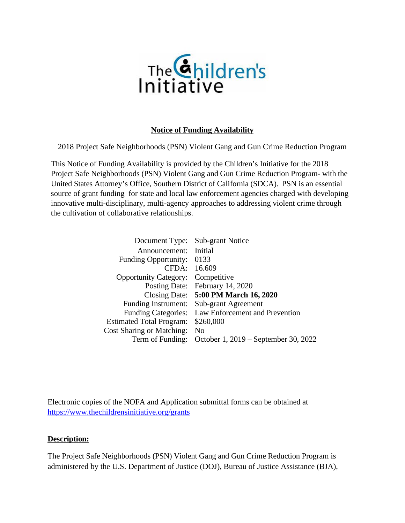

#### **Notice of Funding Availability**

2018 Project Safe Neighborhoods (PSN) Violent Gang and Gun Crime Reduction Program

This Notice of Funding Availability is provided by the Children's Initiative for the 2018 Project Safe Neighborhoods (PSN) Violent Gang and Gun Crime Reduction Program- with the United States Attorney's Office, Southern District of California (SDCA). PSN is an essential source of grant funding for state and local law enforcement agencies charged with developing innovative multi-disciplinary, multi-agency approaches to addressing violent crime through the cultivation of collaborative relationships.

|                                          | Document Type: Sub-grant Notice                       |
|------------------------------------------|-------------------------------------------------------|
| Announcement: Initial                    |                                                       |
| Funding Opportunity: 0133                |                                                       |
| CFDA: 16.609                             |                                                       |
| <b>Opportunity Category:</b> Competitive |                                                       |
|                                          | Posting Date: February 14, 2020                       |
|                                          | Closing Date: 5:00 PM March 16, 2020                  |
|                                          | Funding Instrument: Sub-grant Agreement               |
|                                          | Funding Categories: Law Enforcement and Prevention    |
| Estimated Total Program: \$260,000       |                                                       |
| Cost Sharing or Matching: No             |                                                       |
|                                          | Term of Funding: October 1, 2019 – September 30, 2022 |

Electronic copies of the NOFA and Application submittal forms can be obtained at <https://www.thechildrensinitiative.org/grants>

#### **Description:**

The Project Safe Neighborhoods (PSN) Violent Gang and Gun Crime Reduction Program is administered by the U.S. Department of Justice (DOJ), Bureau of Justice Assistance (BJA),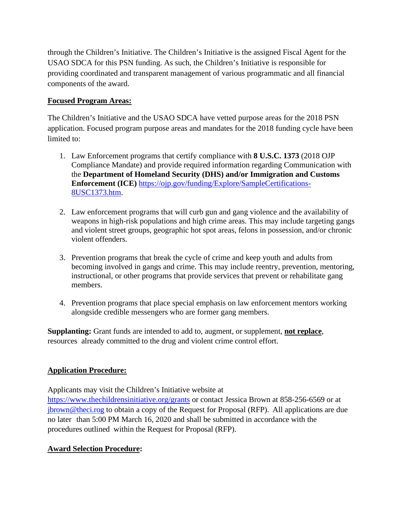through the Children's Initiative. The Children's Initiative is the assigned Fiscal Agent for the USAO SDCA for this PSN funding. As such, the Children's Initiative is responsible for providing coordinated and transparent management of various programmatic and all financial components of the award.

#### **Focused Program Areas:**

The Children's Initiative and the USAO SDCA have vetted purpose areas for the 2018 PSN application. Focused program purpose areas and mandates for the 2018 funding cycle have been limited to:

- 1. Law Enforcement programs that certify compliance with **8 U.S.C. 1373** (2018 OJP Compliance Mandate) and provide required information regarding Communication with the **Department of Homeland Security (DHS) and/or Immigration and Customs Enforcement (ICE)** [https://ojp.gov/funding/Explore/SampleCertifications-](https://ojp.gov/funding/Explore/SampleCertifications-8USC1373.htm)[8USC1373.htm.](https://ojp.gov/funding/Explore/SampleCertifications-8USC1373.htm)
- 2. Law enforcement programs that will curb gun and gang violence and the availability of weapons in high-risk populations and high crime areas. This may include targeting gangs and violent street groups, geographic hot spot areas, felons in possession, and/or chronic violent offenders.
- 3. Prevention programs that break the cycle of crime and keep youth and adults from becoming involved in gangs and crime. This may include reentry, prevention, mentoring, instructional, or other programs that provide services that prevent or rehabilitate gang members.
- 4. Prevention programs that place special emphasis on law enforcement mentors working alongside credible messengers who are former gang members.

**Supplanting:** Grant funds are intended to add to, augment, or supplement, **not replace**, resources already committed to the drug and violent crime control effort.

# **Application Procedure:**

Applicants may visit the Children's Initiative website at <https://www.thechildrensinitiative.org/grants> or contact Jessica Brown at 858-256-6569 or at [jbrown@theci.rog](mailto:jbrown@theci.rog) to obtain a copy of the Request for Proposal (RFP). All applications are due no later than 5:00 PM March 16, 2020 and shall be submitted in accordance with the procedures outlined within the Request for Proposal (RFP).

# **Award Selection Procedure:**